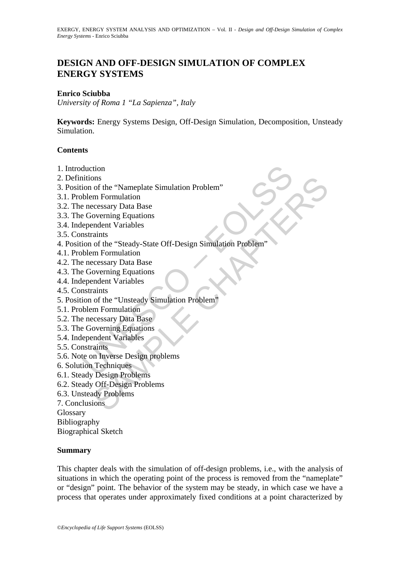# **DESIGN AND OFF-DESIGN SIMULATION OF COMPLEX ENERGY SYSTEMS**

#### **Enrico Sciubba**

*University of Roma 1 "La Sapienza", Italy* 

**Keywords:** Energy Systems Design, Off-Design Simulation, Decomposition, Unsteady Simulation.

#### **Contents**

- 1. Introduction
- 2. Definitions
- 3. Position of the "Nameplate Simulation Problem"
- 3.1. Problem Formulation
- 3.2. The necessary Data Base
- 3.3. The Governing Equations
- 3.4. Independent Variables
- 3.5. Constraints
- duction<br>
intions<br>
on of the "Nameplate Simulation Problem"<br>
blem Formulation<br>
encessary Data Base<br>
e Governing Equations<br>
ependent Variables<br>
straints<br>
internulation<br>
encessary Data Base<br>
E Governing Equations<br>
ependent Va of the "Nameplate Simulation Problem"<br>
of the "Nameplate Simulation Problem"<br>
m Formulation<br>
accessary Data Base<br>
overning Equations<br>
aints<br>
of the "Steady-State Off-Design Simulation Problem"<br>
m Formulation<br>
of the "Unste 4. Position of the "Steady-State Off-Design Simulation Problem"
- 4.1. Problem Formulation
- 4.2. The necessary Data Base
- 4.3. The Governing Equations
- 4.4. Independent Variables
- 4.5. Constraints
- 5. Position of the "Unsteady Simulation Problem"
- 5.1. Problem Formulation
- 5.2. The necessary Data Base
- 5.3. The Governing Equations
- 5.4. Independent Variables
- 5.5. Constraints
- 5.6. Note on Inverse Design problems
- 6. Solution Techniques
- 6.1. Steady Design Problems
- 6.2. Steady Off-Design Problems
- 6.3. Unsteady Problems
- 7. Conclusions
- **Glossary**
- Bibliography

Biographical Sketch

#### **Summary**

This chapter deals with the simulation of off-design problems, i.e., with the analysis of situations in which the operating point of the process is removed from the "nameplate" or "design" point. The behavior of the system may be steady, in which case we have a process that operates under approximately fixed conditions at a point characterized by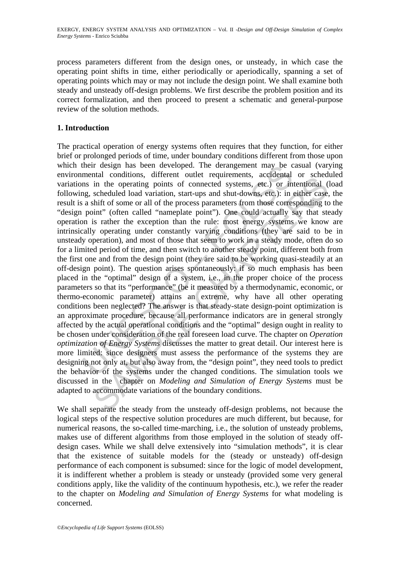process parameters different from the design ones, or unsteady, in which case the operating point shifts in time, either periodically or aperiodically, spanning a set of operating points which may or may not include the design point. We shall examine both steady and unsteady off-design problems. We first describe the problem position and its correct formalization, and then proceed to present a schematic and general-purpose review of the solution methods.

#### **1. Introduction**

their design has been developed. The derangement may be comental conditions, different outlet requirements, accidental ons in the operating points of connected systems, etc.) or in a shift of some or all of the process par and consultion, unter to unter requirements, accordination and scheduled load variation, start-ups and shut-downs, etc.) or intentional (scheduled load variation, start-ups and shut-downs, etc.) or intentional (scheduled The practical operation of energy systems often requires that they function, for either brief or prolonged periods of time, under boundary conditions different from those upon which their design has been developed. The derangement may be casual (varying environmental conditions, different outlet requirements, accidental or scheduled variations in the operating points of connected systems, etc.) or intentional (load following, scheduled load variation, start-ups and shut-downs, etc.): in either case, the result is a shift of some or all of the process parameters from those corresponding to the "design point" (often called "nameplate point"). One could actually say that steady operation is rather the exception than the rule: most energy systems we know are intrinsically operating under constantly varying conditions (they are said to be in unsteady operation), and most of those that seem to work in a steady mode, often do so for a limited period of time, and then switch to another steady point, different both from the first one and from the design point (they are said to be working quasi-steadily at an off-design point). The question arises spontaneously: if so much emphasis has been placed in the "optimal" design of a system, i.e., in the proper choice of the process parameters so that its "performance" (be it measured by a thermodynamic, economic, or thermo-economic parameter) attains an extreme, why have all other operating conditions been neglected? The answer is that steady-state design-point optimization is an approximate procedure, because all performance indicators are in general strongly affected by the actual operational conditions and the "optimal" design ought in reality to be chosen under consideration of the real foreseen load curve. The chapter on *Operation optimization of Energy Systems* discusses the matter to great detail. Our interest here is more limited: since designers must assess the performance of the systems they are designing not only at, but also away from, the "design point", they need tools to predict the behavior of the systems under the changed conditions. The simulation tools we discussed in the chapter on *Modeling and Simulation of Energy Systems* must be adapted to accommodate variations of the boundary conditions.

We shall separate the steady from the unsteady off-design problems, not because the logical steps of the respective solution procedures are much different, but because, for numerical reasons, the so-called time-marching, i.e., the solution of unsteady problems, makes use of different algorithms from those employed in the solution of steady offdesign cases. While we shall delve extensively into "simulation methods", it is clear that the existence of suitable models for the (steady or unsteady) off-design performance of each component is subsumed: since for the logic of model development, it is indifferent whether a problem is steady or unsteady (provided some very general conditions apply, like the validity of the continuum hypothesis, etc.), we refer the reader to the chapter on *Modeling and Simulation of Energy Systems* for what modeling is concerned.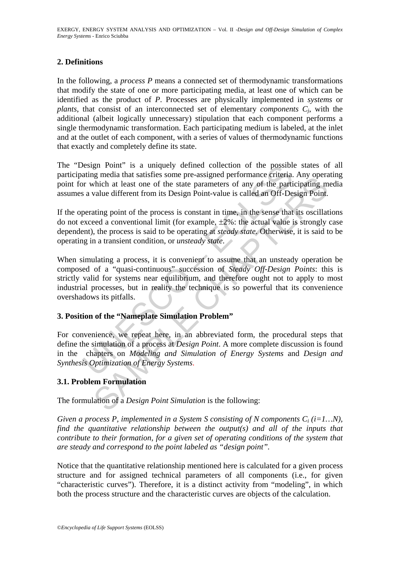## **2. Definitions**

In the following, a *process P* means a connected set of thermodynamic transformations that modify the state of one or more participating media, at least one of which can be identified as the product of *P*. Processes are physically implemented in *systems* or *plants*, that consist of an interconnected set of elementary *components Cj*, with the additional (albeit logically unnecessary) stipulation that each component performs a single thermodynamic transformation. Each participating medium is labeled, at the inlet and at the outlet of each component, with a series of values of thermodynamic functions that exactly and completely define its state.

The "Design Point" is a uniquely defined collection of the possible states of all participating media that satisfies some pre-assigned performance criteria. Any operating point for which at least one of the state parameters of any of the participating media assumes a value different from its Design Point-value is called an Off-Design Point.

If the operating point of the process is constant in time, in the sense that its oscillations do not exceed a conventional limit (for example,  $\pm 2\%$ : the actual value is strongly case dependent), the process is said to be operating at *steady state*. Otherwise, it is said to be operating in a transient condition, or *unsteady state*.

besign Point" is a uniquely defined collection of the possible<br>ating media that satisfies some pre-assigned performance criteria.<br>Tor which at least one of the state parameters of any of the parti<br>a value different from it ign lineua usarisations some pre-assigned periormance circura. Any operator the participating m<br>which at least one of the state parameters of any of the participating m<br>value different from its Design Point-value is called When simulating a process, it is convenient to assume that an unsteady operation be composed of a "quasi-continuous" succession of *Steady Off-Design Points*: this is strictly valid for systems near equilibrium, and therefore ought not to apply to most industrial processes, but in reality the technique is so powerful that its convenience overshadows its pitfalls.

# **3. Position of the "Nameplate Simulation Problem"**

For convenience, we repeat here, in an abbreviated form, the procedural steps that define the simulation of a process at *Design Point*. A more complete discussion is found in the chapters on *Modeling and Simulation of Energy Systems* and *Design and Synthesis Optimization of Energy Systems*.

## **3.1. Problem Formulation**

The formulation of a *Design Point Simulation* is the following:

*Given a process P, implemented in a System S consisting of N components*  $C_i$  *(i=1...N), find the quantitative relationship between the output(s) and all of the inputs that contribute to their formation, for a given set of operating conditions of the system that are steady and correspond to the point labeled as "design point".* 

Notice that the quantitative relationship mentioned here is calculated for a given process structure and for assigned technical parameters of all components (i.e., for given "characteristic curves"). Therefore, it is a distinct activity from "modeling", in which both the process structure and the characteristic curves are objects of the calculation.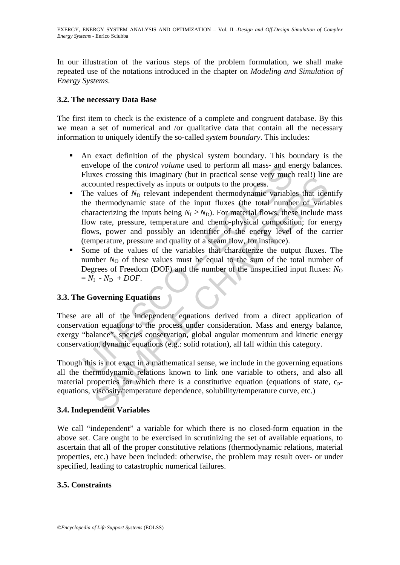In our illustration of the various steps of the problem formulation, we shall make repeated use of the notations introduced in the chapter on *Modeling and Simulation of Energy Systems*.

## **3.2. The necessary Data Base**

The first item to check is the existence of a complete and congruent database. By this we mean a set of numerical and /or qualitative data that contain all the necessary information to uniquely identify the so-called *system boundary*. This includes:

- An exact definition of the physical system boundary. This boundary is the envelope of the *control volume* used to perform all mass- and energy balances. Fluxes crossing this imaginary (but in practical sense very much real!) line are accounted respectively as inputs or outputs to the process.
- envelope of the *control volume* used to perform all mass- and entimated sense very much<br>Fluxes crossing this imaginary (but in practical sense very much factor<br>accounted respectively as inputs to rulputs to the process.<br> Exerts consign in Sinagulary (out in paractical scars (every finite in each servery counted respectively as inputs or outputs to the process.<br>
Products of  $N_D$  relevant independent thermodynamic variables that identermody  $\blacksquare$  The values of  $N_D$  relevant independent thermodynamic variables that identify the thermodynamic state of the input fluxes (the total number of variables characterizing the inputs being  $N_1 \ge N_D$ ). For material flows, these include mass flow rate, pressure, temperature and chemo-physical composition; for energy flows, power and possibly an identifier of the energy level of the carrier (temperature, pressure and quality of a steam flow, for instance).
- Some of the values of the variables that characterize the output fluxes. The number  $N<sub>O</sub>$  of these values must be equal to the sum of the total number of Degrees of Freedom (DOF) and the number of the unspecified input fluxes:  $N<sub>O</sub>$  $=N_I - N_D + DOF$ .

## **3.3. The Governing Equations**

These are all of the independent equations derived from a direct application of conservation equations to the process under consideration. Mass and energy balance, exergy "balance", species conservation, global angular momentum and kinetic energy conservation, dynamic equations (e.g.: solid rotation), all fall within this category.

Though this is not exact in a mathematical sense, we include in the governing equations all the thermodynamic relations known to link one variable to others, and also all material properties for which there is a constitutive equation (equations of state,  $c_{p}$ equations, viscosity/temperature dependence, solubility/temperature curve, etc.)

## **3.4. Independent Variables**

We call "independent" a variable for which there is no closed-form equation in the above set. Care ought to be exercised in scrutinizing the set of available equations, to ascertain that all of the proper constitutive relations (thermodynamic relations, material properties, etc.) have been included: otherwise, the problem may result over- or under specified, leading to catastrophic numerical failures.

## **3.5. Constraints**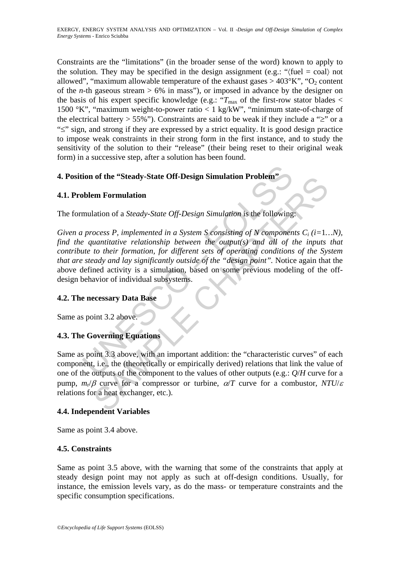Constraints are the "limitations" (in the broader sense of the word) known to apply to the solution. They may be specified in the design assignment (e.g.: " $\langle$ fuel = coal $\rangle$  not allowed", "maximum allowable temperature of the exhaust gases  $>$  403°K", "O<sub>2</sub> content of the *n*-th gaseous stream  $> 6\%$  in mass"), or imposed in advance by the designer on the basis of his expert specific knowledge (e.g.: " $T_{\text{max}}$  of the first-row stator blades < 1500 °K", "maximum weight-to-power ratio < 1 kg/kW", "minimum state-of-charge of the electrical battery > 55%"). Constraints are said to be weak if they include a " $\geq$ " or a "≤" sign, and strong if they are expressed by a strict equality. It is good design practice to impose weak constraints in their strong form in the first instance, and to study the sensitivity of the solution to their "release" (their being reset to their original weak form) in a successive step, after a solution has been found.

## **4. Position of the "Steady-State Off-Design Simulation Problem"**

## **4.1. Problem Formulation**

The formulation of a *Steady-State Off-Design Simulation* is the following:

ion of the "Steady-State Off-Design Simulation Problem"<br>
bblem Formulation<br>
mulation of a *Steady-State Off-Design Simulation* is the following<br>
process P, implemented in a *System S* consisting of N component<br>
process P, **Example 12**<br> **Example 12**<br> **Example 2014**<br> **Example 2014**<br> **Example 2014**<br> **Examplemented** in a System S consisting of N components  $C_i$  ( $i=1$ .<br> **Altainarizative relationship between the output(s) and all of the inputs<br>** *Given a process P, implemented in a System S consisting of N components Ci (i=*1*…N), find the quantitative relationship between the output(s) and all of the inputs that contribute to their formation, for different sets of operating conditions of the System that are steady and lay significantly outside of the "design point".* Notice again that the above defined activity is a simulation, based on some previous modeling of the offdesign behavior of individual subsystems.

## **4.2. The necessary Data Base**

Same as point 3.2 above.

## **4.3. The Governing Equations**

Same as point 3.3 above, with an important addition: the "characteristic curves" of each component, i.e., the (theoretically or empirically derived) relations that link the value of one of the outputs of the component to the values of other outputs (e.g.: *Q*/*H* curve for a pump,  $m_r/\beta$  curve for a compressor or turbine,  $\alpha/T$  curve for a combustor,  $NTU/\varepsilon$ relations for a heat exchanger, etc.).

## **4.4. Independent Variables**

Same as point 3.4 above.

## **4.5. Constraints**

Same as point 3.5 above, with the warning that some of the constraints that apply at steady design point may not apply as such at off-design conditions. Usually, for instance, the emission levels vary, as do the mass- or temperature constraints and the specific consumption specifications.